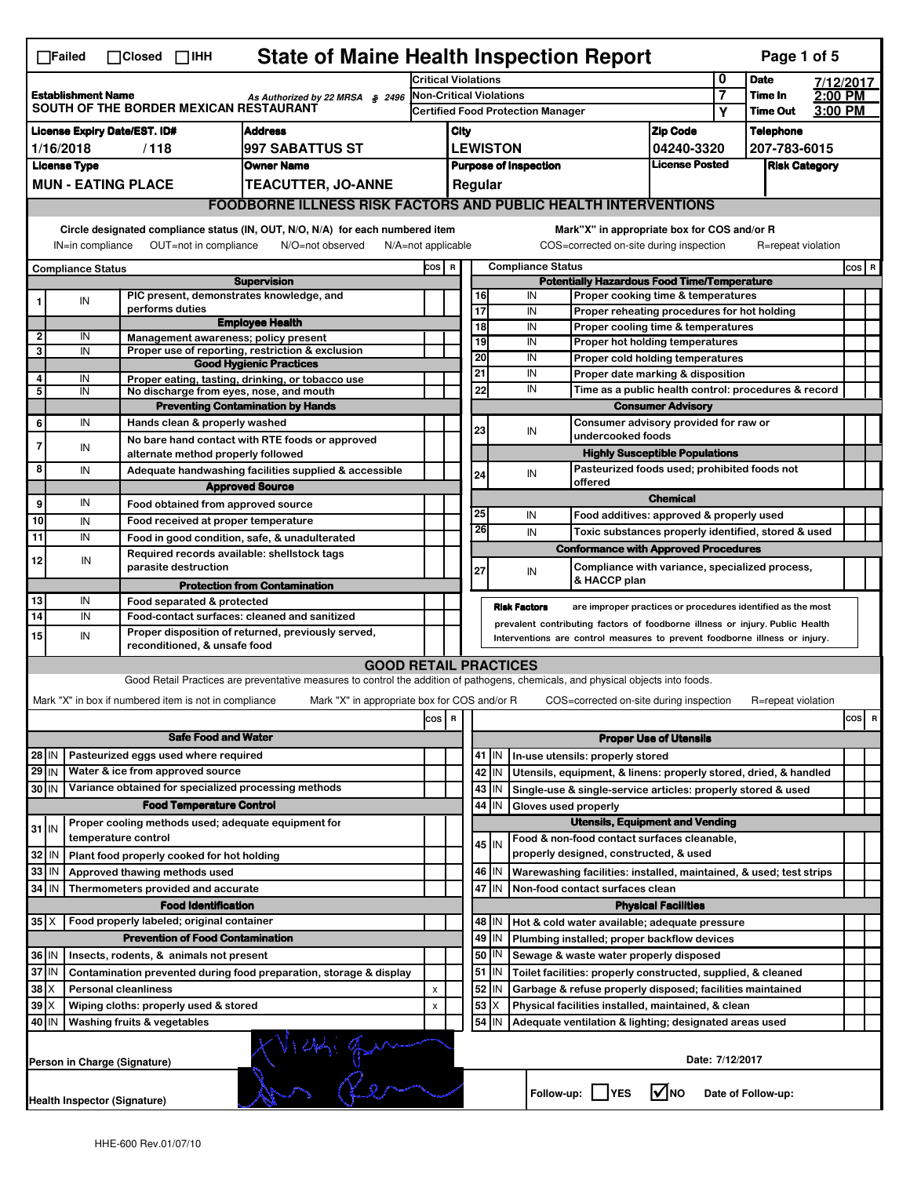|                                                                                                        | <b>State of Maine Health Inspection Report</b><br>Page 1 of 5<br>$\Box$ Failed<br>$\Box$ Closed $\Box$ IHH                                                                |                                                       |                                                                                                                                   |                              |                                                                                        |                                                                       |                                                               |                                      |                          |                                                                                        |                               |                 |                    |  |       |
|--------------------------------------------------------------------------------------------------------|---------------------------------------------------------------------------------------------------------------------------------------------------------------------------|-------------------------------------------------------|-----------------------------------------------------------------------------------------------------------------------------------|------------------------------|----------------------------------------------------------------------------------------|-----------------------------------------------------------------------|---------------------------------------------------------------|--------------------------------------|--------------------------|----------------------------------------------------------------------------------------|-------------------------------|-----------------|--------------------|--|-------|
|                                                                                                        |                                                                                                                                                                           |                                                       | <b>Critical Violations</b>                                                                                                        |                              |                                                                                        | 0                                                                     | <b>Date</b>                                                   | 7/12/2017                            |                          |                                                                                        |                               |                 |                    |  |       |
| <b>Establishment Name</b><br>As Authorized by 22 MRSA § 2496<br>SOUTH OF THE BORDER MEXICAN RESTAURANT |                                                                                                                                                                           |                                                       | <b>Non-Critical Violations</b>                                                                                                    |                              |                                                                                        |                                                                       |                                                               | 7                                    | Time In                  | $2:00$ PM                                                                              |                               |                 |                    |  |       |
|                                                                                                        |                                                                                                                                                                           |                                                       |                                                                                                                                   |                              | <b>Certified Food Protection Manager</b>                                               |                                                                       |                                                               |                                      |                          |                                                                                        | Υ                             | <b>Time Out</b> | 3:00 PM            |  |       |
| <b>License Expiry Date/EST. ID#</b><br><b>Address</b>                                                  |                                                                                                                                                                           |                                                       |                                                                                                                                   | <b>Zip Code</b><br>City      |                                                                                        |                                                                       |                                                               | <b>Telephone</b>                     |                          |                                                                                        |                               |                 |                    |  |       |
| 1/16/2018<br>/118<br>997 SABATTUS ST<br><b>License Type</b><br><b>Owner Name</b>                       |                                                                                                                                                                           |                                                       |                                                                                                                                   |                              | <b>LEWISTON</b><br>04240-3320<br><b>License Posted</b><br><b>Purpose of Inspection</b> |                                                                       |                                                               | 207-783-6015<br><b>Risk Category</b> |                          |                                                                                        |                               |                 |                    |  |       |
|                                                                                                        |                                                                                                                                                                           | <b>MUN - EATING PLACE</b>                             | <b>TEACUTTER, JO-ANNE</b>                                                                                                         |                              |                                                                                        | Regular                                                               |                                                               |                                      |                          |                                                                                        |                               |                 |                    |  |       |
|                                                                                                        |                                                                                                                                                                           |                                                       |                                                                                                                                   |                              |                                                                                        |                                                                       |                                                               |                                      |                          |                                                                                        |                               |                 |                    |  |       |
|                                                                                                        | <b>FOODBORNE ILLNESS RISK FACTORS AND PUBLIC HEALTH INTERVENTIONS</b>                                                                                                     |                                                       |                                                                                                                                   |                              |                                                                                        |                                                                       |                                                               |                                      |                          |                                                                                        |                               |                 |                    |  |       |
|                                                                                                        | Circle designated compliance status (IN, OUT, N/O, N/A) for each numbered item<br>OUT=not in compliance<br>IN=in compliance<br>N/O=not observed<br>$N/A = not$ applicable |                                                       |                                                                                                                                   |                              |                                                                                        |                                                                       |                                                               |                                      |                          | Mark"X" in appropriate box for COS and/or R<br>COS=corrected on-site during inspection |                               |                 | R=repeat violation |  |       |
|                                                                                                        |                                                                                                                                                                           |                                                       |                                                                                                                                   |                              | COS R                                                                                  |                                                                       |                                                               |                                      | <b>Compliance Status</b> |                                                                                        |                               |                 |                    |  | COS R |
|                                                                                                        | <b>Compliance Status</b>                                                                                                                                                  |                                                       | <b>Supervision</b>                                                                                                                |                              |                                                                                        |                                                                       | <b>Potentially Hazardous Food Time/Temperature</b>            |                                      |                          |                                                                                        |                               |                 |                    |  |       |
|                                                                                                        | IN                                                                                                                                                                        |                                                       | PIC present, demonstrates knowledge, and                                                                                          |                              |                                                                                        |                                                                       | 16                                                            |                                      | IN                       | Proper cooking time & temperatures                                                     |                               |                 |                    |  |       |
|                                                                                                        |                                                                                                                                                                           | performs duties                                       | <b>Employee Health</b>                                                                                                            |                              |                                                                                        |                                                                       | 17                                                            |                                      | IN                       | Proper reheating procedures for hot holding                                            |                               |                 |                    |  |       |
| 2                                                                                                      | IN                                                                                                                                                                        |                                                       | Management awareness; policy present                                                                                              |                              |                                                                                        |                                                                       | 18<br>19                                                      |                                      | IN<br>IN                 | Proper cooling time & temperatures<br>Proper hot holding temperatures                  |                               |                 |                    |  |       |
| 3                                                                                                      | IN                                                                                                                                                                        |                                                       | Proper use of reporting, restriction & exclusion                                                                                  |                              |                                                                                        |                                                                       | 20                                                            |                                      | IN                       | Proper cold holding temperatures                                                       |                               |                 |                    |  |       |
|                                                                                                        |                                                                                                                                                                           |                                                       | <b>Good Hygienic Practices</b>                                                                                                    |                              |                                                                                        |                                                                       | 21                                                            |                                      | IN                       | Proper date marking & disposition                                                      |                               |                 |                    |  |       |
| 4<br>5                                                                                                 | IN<br>IN                                                                                                                                                                  |                                                       | Proper eating, tasting, drinking, or tobacco use<br>No discharge from eyes, nose, and mouth                                       |                              |                                                                                        |                                                                       | 22                                                            |                                      | IN                       | Time as a public health control: procedures & record                                   |                               |                 |                    |  |       |
|                                                                                                        |                                                                                                                                                                           |                                                       | <b>Preventing Contamination by Hands</b>                                                                                          |                              |                                                                                        |                                                                       |                                                               |                                      |                          |                                                                                        | <b>Consumer Advisory</b>      |                 |                    |  |       |
| 6                                                                                                      | IN                                                                                                                                                                        |                                                       | Hands clean & properly washed                                                                                                     |                              |                                                                                        |                                                                       |                                                               |                                      |                          | Consumer advisory provided for raw or                                                  |                               |                 |                    |  |       |
|                                                                                                        |                                                                                                                                                                           |                                                       | No bare hand contact with RTE foods or approved                                                                                   |                              |                                                                                        |                                                                       | 23                                                            |                                      | IN                       | undercooked foods                                                                      |                               |                 |                    |  |       |
| 7                                                                                                      | IN                                                                                                                                                                        |                                                       | alternate method properly followed                                                                                                |                              |                                                                                        |                                                                       |                                                               |                                      |                          | <b>Highly Susceptible Populations</b>                                                  |                               |                 |                    |  |       |
| 8                                                                                                      | IN                                                                                                                                                                        |                                                       | Adequate handwashing facilities supplied & accessible                                                                             |                              |                                                                                        |                                                                       | 24                                                            |                                      | IN                       | Pasteurized foods used; prohibited foods not                                           |                               |                 |                    |  |       |
|                                                                                                        |                                                                                                                                                                           |                                                       | <b>Approved Source</b>                                                                                                            |                              |                                                                                        |                                                                       |                                                               |                                      |                          | offered                                                                                |                               |                 |                    |  |       |
| 9                                                                                                      | IN                                                                                                                                                                        |                                                       | Food obtained from approved source                                                                                                |                              |                                                                                        |                                                                       |                                                               |                                      |                          |                                                                                        | <b>Chemical</b>               |                 |                    |  |       |
| 10                                                                                                     | IN                                                                                                                                                                        |                                                       | Food received at proper temperature                                                                                               |                              |                                                                                        |                                                                       | 25<br>26                                                      |                                      | IN                       | Food additives: approved & properly used                                               |                               |                 |                    |  |       |
| 11                                                                                                     | IN                                                                                                                                                                        |                                                       | Food in good condition, safe, & unadulterated                                                                                     |                              |                                                                                        |                                                                       |                                                               |                                      | IN                       | Toxic substances properly identified, stored & used                                    |                               |                 |                    |  |       |
| 12                                                                                                     | IN                                                                                                                                                                        |                                                       | Required records available: shellstock tags                                                                                       |                              |                                                                                        |                                                                       |                                                               |                                      |                          | <b>Conformance with Approved Procedures</b>                                            |                               |                 |                    |  |       |
|                                                                                                        |                                                                                                                                                                           | parasite destruction                                  |                                                                                                                                   |                              |                                                                                        |                                                                       | 27                                                            |                                      | IN                       | Compliance with variance, specialized process,<br>& HACCP plan                         |                               |                 |                    |  |       |
|                                                                                                        |                                                                                                                                                                           |                                                       | <b>Protection from Contamination</b>                                                                                              |                              |                                                                                        |                                                                       |                                                               |                                      |                          |                                                                                        |                               |                 |                    |  |       |
| 13<br>$\overline{14}$                                                                                  | IN<br>IN                                                                                                                                                                  | Food separated & protected                            | Food-contact surfaces: cleaned and sanitized                                                                                      |                              |                                                                                        |                                                                       |                                                               |                                      | <b>Risk Factors</b>      | are improper practices or procedures identified as the most                            |                               |                 |                    |  |       |
|                                                                                                        | prevalent contributing factors of foodborne illness or injury. Public Health<br>Proper disposition of returned, previously served,                                        |                                                       |                                                                                                                                   |                              |                                                                                        |                                                                       |                                                               |                                      |                          |                                                                                        |                               |                 |                    |  |       |
|                                                                                                        | 15<br>IN<br>Interventions are control measures to prevent foodborne illness or injury.<br>reconditioned, & unsafe food                                                    |                                                       |                                                                                                                                   |                              |                                                                                        |                                                                       |                                                               |                                      |                          |                                                                                        |                               |                 |                    |  |       |
|                                                                                                        |                                                                                                                                                                           |                                                       |                                                                                                                                   | <b>GOOD RETAIL PRACTICES</b> |                                                                                        |                                                                       |                                                               |                                      |                          |                                                                                        |                               |                 |                    |  |       |
|                                                                                                        |                                                                                                                                                                           |                                                       | Good Retail Practices are preventative measures to control the addition of pathogens, chemicals, and physical objects into foods. |                              |                                                                                        |                                                                       |                                                               |                                      |                          |                                                                                        |                               |                 |                    |  |       |
|                                                                                                        |                                                                                                                                                                           | Mark "X" in box if numbered item is not in compliance | Mark "X" in appropriate box for COS and/or R                                                                                      |                              |                                                                                        |                                                                       |                                                               |                                      |                          | COS=corrected on-site during inspection                                                |                               |                 | R=repeat violation |  |       |
|                                                                                                        |                                                                                                                                                                           |                                                       |                                                                                                                                   |                              | cos                                                                                    | R                                                                     |                                                               |                                      |                          |                                                                                        |                               |                 |                    |  | cos R |
|                                                                                                        |                                                                                                                                                                           |                                                       | <b>Safe Food and Water</b>                                                                                                        |                              |                                                                                        |                                                                       |                                                               |                                      |                          |                                                                                        | <b>Proper Use of Utensils</b> |                 |                    |  |       |
| 28 IN                                                                                                  |                                                                                                                                                                           | Pasteurized eggs used where required                  |                                                                                                                                   |                              |                                                                                        |                                                                       |                                                               | $41$ IN                              |                          | In-use utensils: properly stored                                                       |                               |                 |                    |  |       |
| 29 IN                                                                                                  |                                                                                                                                                                           | Water & ice from approved source                      |                                                                                                                                   |                              |                                                                                        |                                                                       |                                                               | 42<br>IN                             |                          | Utensils, equipment, & linens: properly stored, dried, & handled                       |                               |                 |                    |  |       |
| 30 IN                                                                                                  |                                                                                                                                                                           |                                                       | Variance obtained for specialized processing methods                                                                              |                              |                                                                                        |                                                                       |                                                               | 43<br>IN                             |                          | Single-use & single-service articles: properly stored & used                           |                               |                 |                    |  |       |
|                                                                                                        |                                                                                                                                                                           |                                                       | <b>Food Temperature Control</b>                                                                                                   |                              |                                                                                        |                                                                       |                                                               | 44<br>IN                             |                          | Gloves used properly                                                                   |                               |                 |                    |  |       |
|                                                                                                        |                                                                                                                                                                           |                                                       | Proper cooling methods used; adequate equipment for                                                                               |                              |                                                                                        |                                                                       |                                                               |                                      |                          | <b>Utensils, Equipment and Vending</b>                                                 |                               |                 |                    |  |       |
| $31$ IN                                                                                                |                                                                                                                                                                           | temperature control                                   |                                                                                                                                   |                              |                                                                                        |                                                                       |                                                               | 45 I IN                              |                          | Food & non-food contact surfaces cleanable,                                            |                               |                 |                    |  |       |
| 32                                                                                                     | IN                                                                                                                                                                        | Plant food properly cooked for hot holding            |                                                                                                                                   |                              |                                                                                        |                                                                       |                                                               |                                      |                          | properly designed, constructed, & used                                                 |                               |                 |                    |  |       |
| 33                                                                                                     | IN                                                                                                                                                                        | Approved thawing methods used                         |                                                                                                                                   |                              |                                                                                        |                                                                       |                                                               | 46  <br>IN                           |                          | Warewashing facilities: installed, maintained, & used; test strips                     |                               |                 |                    |  |       |
| 34                                                                                                     | l IN                                                                                                                                                                      | Thermometers provided and accurate                    |                                                                                                                                   |                              |                                                                                        |                                                                       |                                                               | 47 IN                                |                          | Non-food contact surfaces clean                                                        |                               |                 |                    |  |       |
|                                                                                                        |                                                                                                                                                                           |                                                       | <b>Food Identification</b>                                                                                                        |                              |                                                                                        |                                                                       |                                                               |                                      |                          |                                                                                        | <b>Physical Facilities</b>    |                 |                    |  |       |
| $35$ $\times$                                                                                          |                                                                                                                                                                           | Food properly labeled; original container             |                                                                                                                                   |                              |                                                                                        |                                                                       |                                                               | 48   IN                              |                          | Hot & cold water available; adequate pressure                                          |                               |                 |                    |  |       |
|                                                                                                        |                                                                                                                                                                           |                                                       | <b>Prevention of Food Contamination</b>                                                                                           |                              |                                                                                        |                                                                       |                                                               | 49<br>IN                             |                          | Plumbing installed; proper backflow devices                                            |                               |                 |                    |  |       |
|                                                                                                        | 36 IN<br>Insects, rodents, & animals not present                                                                                                                          |                                                       |                                                                                                                                   |                              |                                                                                        | 50<br>IN<br>Sewage & waste water properly disposed                    |                                                               |                                      |                          |                                                                                        |                               |                 |                    |  |       |
| 37 IN<br>Contamination prevented during food preparation, storage & display                            |                                                                                                                                                                           |                                                       |                                                                                                                                   |                              | $51$ M<br>Toilet facilities: properly constructed, supplied, & cleaned                 |                                                                       |                                                               |                                      |                          |                                                                                        |                               |                 |                    |  |       |
| 38                                                                                                     | IΧ<br><b>Personal cleanliness</b>                                                                                                                                         |                                                       |                                                                                                                                   | X                            |                                                                                        | 52<br>IN<br>Garbage & refuse properly disposed; facilities maintained |                                                               |                                      |                          |                                                                                        |                               |                 |                    |  |       |
| 39                                                                                                     | IХ                                                                                                                                                                        | Wiping cloths: properly used & stored                 |                                                                                                                                   |                              | X                                                                                      |                                                                       | 53<br>X<br>Physical facilities installed, maintained, & clean |                                      |                          |                                                                                        |                               |                 |                    |  |       |
| 40   IN                                                                                                |                                                                                                                                                                           | Washing fruits & vegetables                           |                                                                                                                                   |                              |                                                                                        |                                                                       |                                                               | 54   IN                              |                          | Adequate ventilation & lighting; designated areas used                                 |                               |                 |                    |  |       |
|                                                                                                        |                                                                                                                                                                           | Person in Charge (Signature)                          | $VPR_1 \sqrt{2}$                                                                                                                  |                              |                                                                                        |                                                                       |                                                               |                                      |                          |                                                                                        |                               | Date: 7/12/2017 |                    |  |       |
|                                                                                                        |                                                                                                                                                                           | <b>Health Inspector (Signature)</b>                   |                                                                                                                                   |                              |                                                                                        |                                                                       |                                                               |                                      |                          | Follow-up:     YES                                                                     | l√lno                         |                 | Date of Follow-up: |  |       |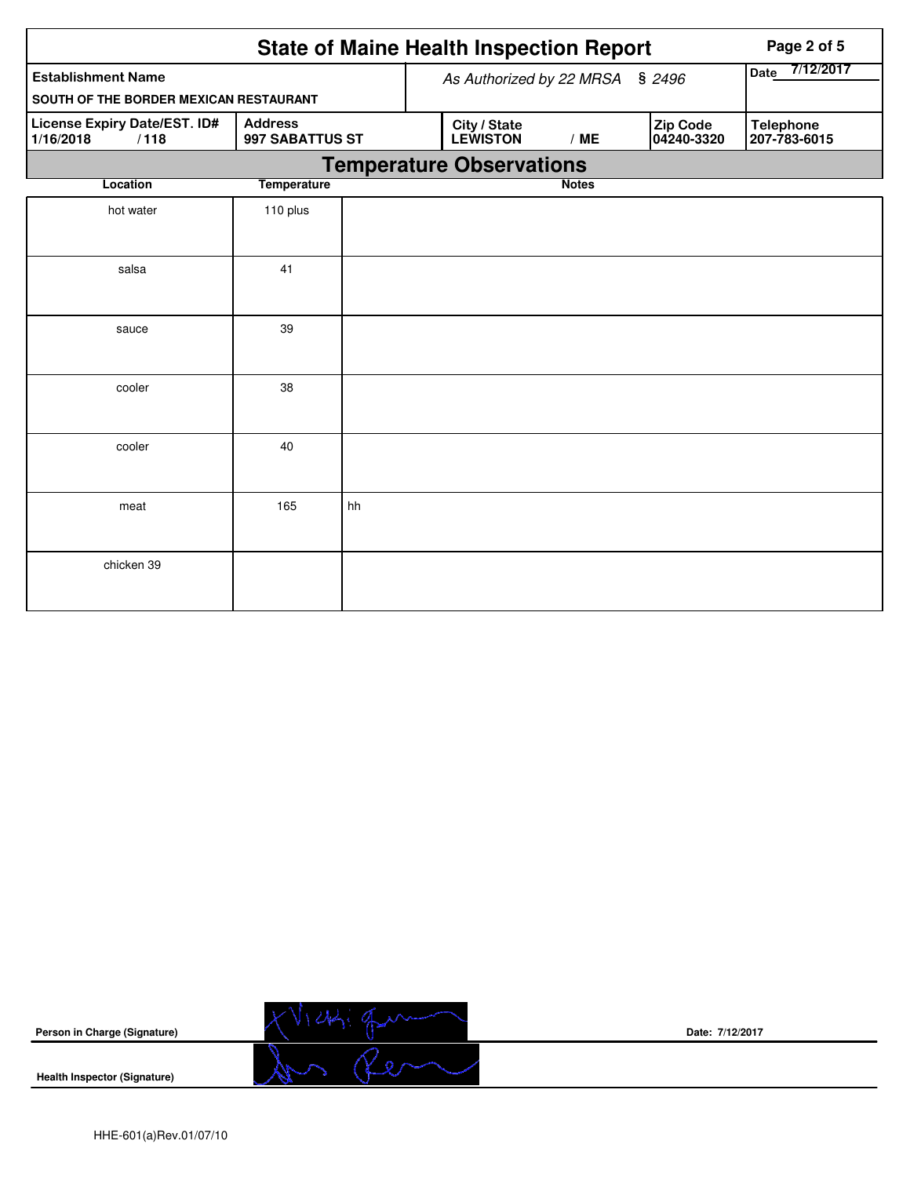|                                                   | Page 2 of 5                       |    |                          |              |                        |                                  |  |  |  |  |
|---------------------------------------------------|-----------------------------------|----|--------------------------|--------------|------------------------|----------------------------------|--|--|--|--|
| <b>Establishment Name</b>                         |                                   |    | As Authorized by 22 MRSA | \$2496       | 7/12/2017<br>Date      |                                  |  |  |  |  |
| SOUTH OF THE BORDER MEXICAN RESTAURANT            |                                   |    |                          |              |                        |                                  |  |  |  |  |
| License Expiry Date/EST. ID#<br>1/16/2018<br>/118 | <b>Address</b><br>997 SABATTUS ST |    | City / State<br>LEWISTON | /ME          | Zip Code<br>04240-3320 | <b>Telephone</b><br>207-783-6015 |  |  |  |  |
|                                                   | <b>Temperature Observations</b>   |    |                          |              |                        |                                  |  |  |  |  |
| Location                                          | <b>Temperature</b>                |    |                          | <b>Notes</b> |                        |                                  |  |  |  |  |
| hot water                                         | 110 plus                          |    |                          |              |                        |                                  |  |  |  |  |
| salsa                                             | 41                                |    |                          |              |                        |                                  |  |  |  |  |
| sauce                                             | 39                                |    |                          |              |                        |                                  |  |  |  |  |
| cooler                                            | 38                                |    |                          |              |                        |                                  |  |  |  |  |
| cooler                                            | 40                                |    |                          |              |                        |                                  |  |  |  |  |
| meat                                              | 165                               | hh |                          |              |                        |                                  |  |  |  |  |
| chicken 39                                        |                                   |    |                          |              |                        |                                  |  |  |  |  |



**Date: 7/12/2017**

**Health Inspector (Signature)**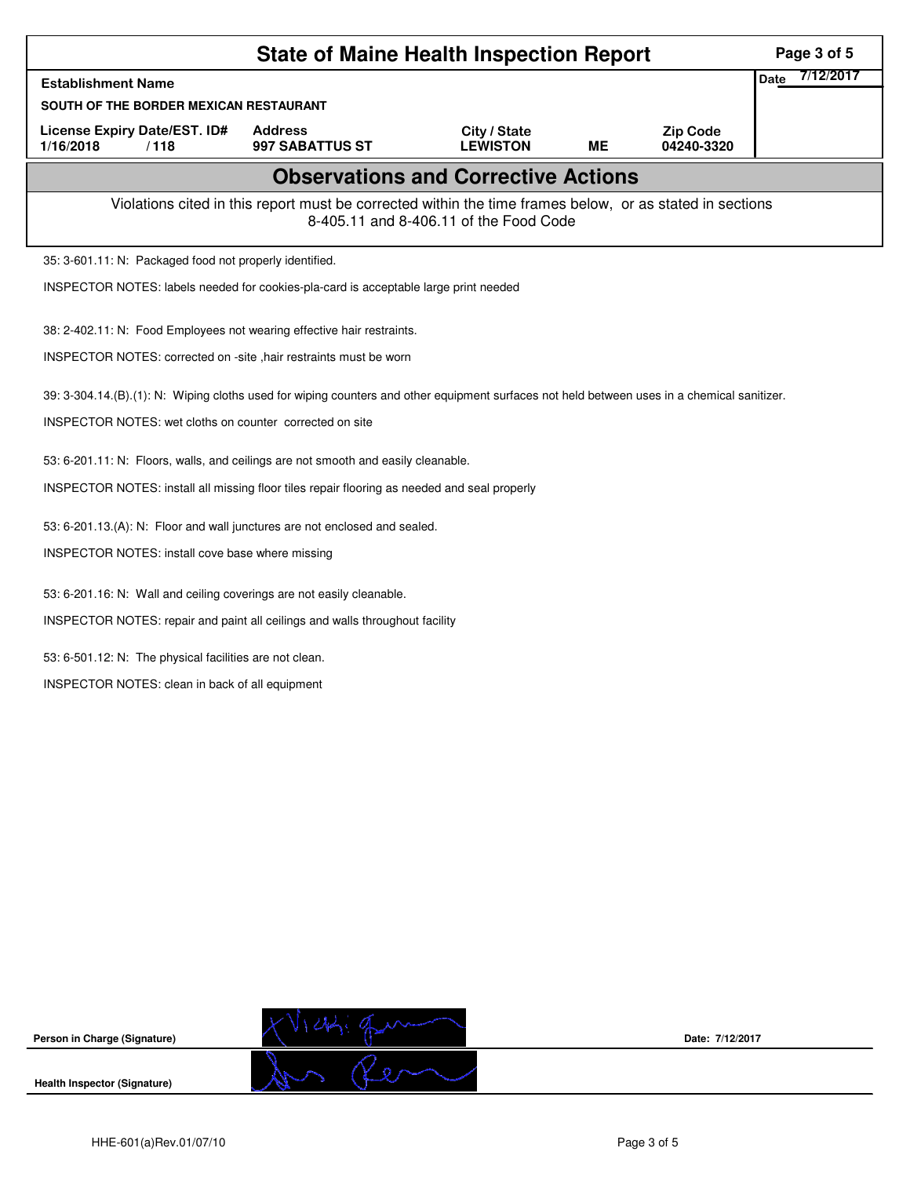| <b>State of Maine Health Inspection Report</b>                                                                                                     |                                   |                                 |           |                               |                          |  |  |  |  |
|----------------------------------------------------------------------------------------------------------------------------------------------------|-----------------------------------|---------------------------------|-----------|-------------------------------|--------------------------|--|--|--|--|
| <b>Establishment Name</b>                                                                                                                          |                                   |                                 |           |                               | 7/12/2017<br><b>Date</b> |  |  |  |  |
| SOUTH OF THE BORDER MEXICAN RESTAURANT                                                                                                             |                                   |                                 |           |                               |                          |  |  |  |  |
| License Expiry Date/EST. ID#<br>1/16/2018<br>/118                                                                                                  | <b>Address</b><br>997 SABATTUS ST | City / State<br><b>LEWISTON</b> | <b>ME</b> | <b>Zip Code</b><br>04240-3320 |                          |  |  |  |  |
| <b>Observations and Corrective Actions</b>                                                                                                         |                                   |                                 |           |                               |                          |  |  |  |  |
| Violations cited in this report must be corrected within the time frames below, or as stated in sections<br>8-405.11 and 8-406.11 of the Food Code |                                   |                                 |           |                               |                          |  |  |  |  |
| 35: 3-601.11: N: Packaged food not properly identified.                                                                                            |                                   |                                 |           |                               |                          |  |  |  |  |
| INSPECTOR NOTES: labels needed for cookies-pla-card is acceptable large print needed                                                               |                                   |                                 |           |                               |                          |  |  |  |  |
| 38: 2-402.11: N: Food Employees not wearing effective hair restraints.                                                                             |                                   |                                 |           |                               |                          |  |  |  |  |
| INSPECTOR NOTES: corrected on -site , hair restraints must be worn                                                                                 |                                   |                                 |           |                               |                          |  |  |  |  |
| 39: 3-304.14.(B).(1): N: Wiping cloths used for wiping counters and other equipment surfaces not held between uses in a chemical sanitizer.        |                                   |                                 |           |                               |                          |  |  |  |  |
| INSPECTOR NOTES: wet cloths on counter corrected on site                                                                                           |                                   |                                 |           |                               |                          |  |  |  |  |
| 53: 6-201.11: N: Floors, walls, and ceilings are not smooth and easily cleanable.                                                                  |                                   |                                 |           |                               |                          |  |  |  |  |
| INSPECTOR NOTES: install all missing floor tiles repair flooring as needed and seal properly                                                       |                                   |                                 |           |                               |                          |  |  |  |  |
| 53: 6-201.13.(A): N: Floor and wall junctures are not enclosed and sealed.                                                                         |                                   |                                 |           |                               |                          |  |  |  |  |
| INSPECTOR NOTES: install cove base where missing                                                                                                   |                                   |                                 |           |                               |                          |  |  |  |  |
| 53: 6-201.16: N: Wall and ceiling coverings are not easily cleanable.                                                                              |                                   |                                 |           |                               |                          |  |  |  |  |
| INSPECTOR NOTES: repair and paint all ceilings and walls throughout facility                                                                       |                                   |                                 |           |                               |                          |  |  |  |  |
| 53: 6-501.12: N: The physical facilities are not clean.                                                                                            |                                   |                                 |           |                               |                          |  |  |  |  |
| INSPECTOR NOTES: clean in back of all equipment                                                                                                    |                                   |                                 |           |                               |                          |  |  |  |  |
|                                                                                                                                                    |                                   |                                 |           |                               |                          |  |  |  |  |
|                                                                                                                                                    |                                   |                                 |           |                               |                          |  |  |  |  |



**Date: 7/12/2017**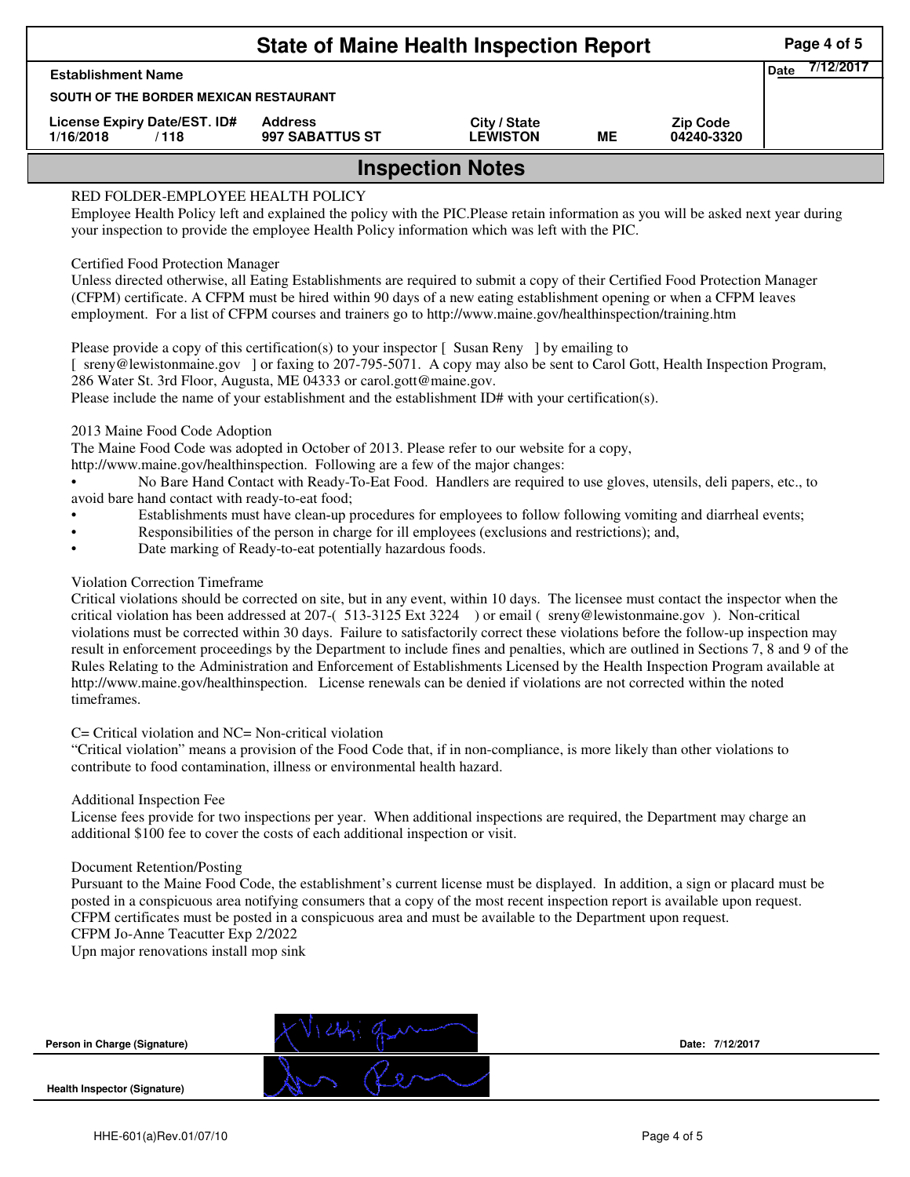| <b>State of Maine Health Inspection Report</b>    |                                        |                                 |    |                               |                          |  |  |  |  |  |
|---------------------------------------------------|----------------------------------------|---------------------------------|----|-------------------------------|--------------------------|--|--|--|--|--|
| <b>Establishment Name</b>                         |                                        |                                 |    |                               | 7/12/2017<br><b>Date</b> |  |  |  |  |  |
|                                                   | SOUTH OF THE BORDER MEXICAN RESTAURANT |                                 |    |                               |                          |  |  |  |  |  |
| License Expiry Date/EST. ID#<br>1/16/2018<br>/118 | <b>Address</b><br>997 SABATTUS ST      | City / State<br><b>LEWISTON</b> | MЕ | <b>Zip Code</b><br>04240-3320 |                          |  |  |  |  |  |
| <b>Inspection Notes</b>                           |                                        |                                 |    |                               |                          |  |  |  |  |  |

# RED FOLDER-EMPLOYEE HEALTH POLICY

Employee Health Policy left and explained the policy with the PIC.Please retain information as you will be asked next year during your inspection to provide the employee Health Policy information which was left with the PIC.

## Certified Food Protection Manager

Unless directed otherwise, all Eating Establishments are required to submit a copy of their Certified Food Protection Manager (CFPM) certificate. A CFPM must be hired within 90 days of a new eating establishment opening or when a CFPM leaves employment. For a list of CFPM courses and trainers go to http://www.maine.gov/healthinspection/training.htm

Please provide a copy of this certification(s) to your inspector [Susan Reny ] by emailing to [ sreny@lewistonmaine.gov ] or faxing to 207-795-5071. A copy may also be sent to Carol Gott, Health Inspection Program, 286 Water St. 3rd Floor, Augusta, ME 04333 or carol.gott@maine.gov.

Please include the name of your establishment and the establishment ID# with your certification(s).

2013 Maine Food Code Adoption

The Maine Food Code was adopted in October of 2013. Please refer to our website for a copy,

http://www.maine.gov/healthinspection. Following are a few of the major changes:

• No Bare Hand Contact with Ready-To-Eat Food. Handlers are required to use gloves, utensils, deli papers, etc., to avoid bare hand contact with ready-to-eat food;

- Establishments must have clean-up procedures for employees to follow following vomiting and diarrheal events;
- Responsibilities of the person in charge for ill employees (exclusions and restrictions); and,
- Date marking of Ready-to-eat potentially hazardous foods.

## Violation Correction Timeframe

Critical violations should be corrected on site, but in any event, within 10 days. The licensee must contact the inspector when the critical violation has been addressed at 207-( 513-3125 Ext 3224 ) or email ( sreny@lewistonmaine.gov ). Non-critical violations must be corrected within 30 days. Failure to satisfactorily correct these violations before the follow-up inspection may result in enforcement proceedings by the Department to include fines and penalties, which are outlined in Sections 7, 8 and 9 of the Rules Relating to the Administration and Enforcement of Establishments Licensed by the Health Inspection Program available at http://www.maine.gov/healthinspection. License renewals can be denied if violations are not corrected within the noted timeframes.

#### C= Critical violation and NC= Non-critical violation

"Critical violation" means a provision of the Food Code that, if in non-compliance, is more likely than other violations to contribute to food contamination, illness or environmental health hazard.

#### Additional Inspection Fee

License fees provide for two inspections per year. When additional inspections are required, the Department may charge an additional \$100 fee to cover the costs of each additional inspection or visit.

#### Document Retention/Posting

Pursuant to the Maine Food Code, the establishment's current license must be displayed. In addition, a sign or placard must be posted in a conspicuous area notifying consumers that a copy of the most recent inspection report is available upon request. CFPM certificates must be posted in a conspicuous area and must be available to the Department upon request. CFPM Jo-Anne Teacutter Exp 2/2022

Upn major renovations install mop sink